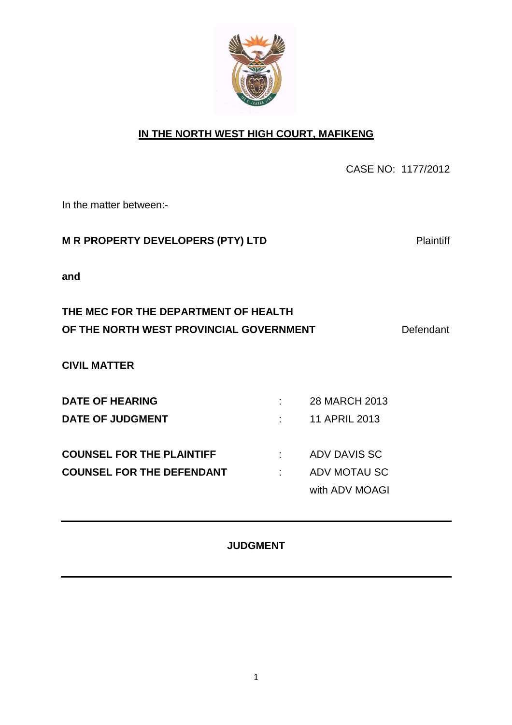

### **IN THE NORTH WEST HIGH COURT, MAFIKENG**

CASE NO: 1177/2012

In the matter between:-

### **M R PROPERTY DEVELOPERS (PTY) LTD Plaintiff**

**and** 

## **THE MEC FOR THE DEPARTMENT OF HEALTH OF THE NORTH WEST PROVINCIAL GOVERNMENT** Defendant

**CIVIL MATTER** 

| <b>DATE OF HEARING</b>           | 28 MARCH 2013  |
|----------------------------------|----------------|
| <b>DATE OF JUDGMENT</b>          | 11 APRIL 2013  |
|                                  |                |
| <b>COUNSEL FOR THE PLAINTIFF</b> | ADV DAVIS SC   |
| <b>COUNSEL FOR THE DEFENDANT</b> | ADV MOTAU SC   |
|                                  | with ADV MOAGI |

#### **JUDGMENT**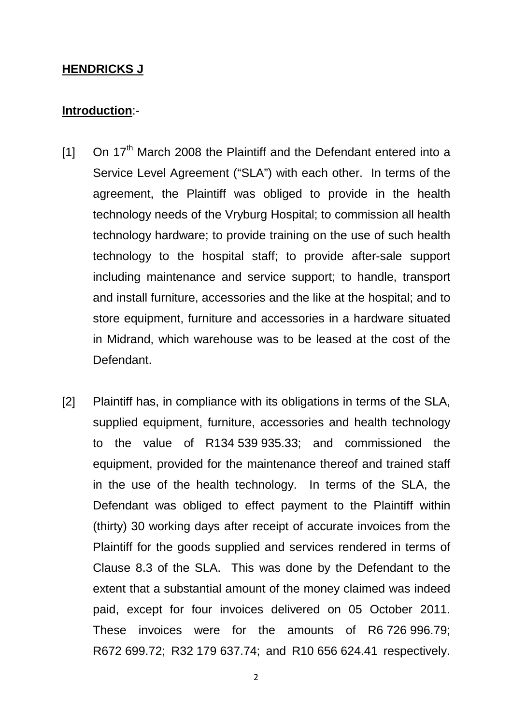#### **HENDRICKS J**

### **Introduction**:-

- $[1]$  On 17<sup>th</sup> March 2008 the Plaintiff and the Defendant entered into a Service Level Agreement ("SLA") with each other. In terms of the agreement, the Plaintiff was obliged to provide in the health technology needs of the Vryburg Hospital; to commission all health technology hardware; to provide training on the use of such health technology to the hospital staff; to provide after-sale support including maintenance and service support; to handle, transport and install furniture, accessories and the like at the hospital; and to store equipment, furniture and accessories in a hardware situated in Midrand, which warehouse was to be leased at the cost of the Defendant.
- [2] Plaintiff has, in compliance with its obligations in terms of the SLA, supplied equipment, furniture, accessories and health technology to the value of R134 539 935.33; and commissioned the equipment, provided for the maintenance thereof and trained staff in the use of the health technology. In terms of the SLA, the Defendant was obliged to effect payment to the Plaintiff within (thirty) 30 working days after receipt of accurate invoices from the Plaintiff for the goods supplied and services rendered in terms of Clause 8.3 of the SLA. This was done by the Defendant to the extent that a substantial amount of the money claimed was indeed paid, except for four invoices delivered on 05 October 2011. These invoices were for the amounts of R6 726 996.79; R672 699.72; R32 179 637.74; and R10 656 624.41 respectively.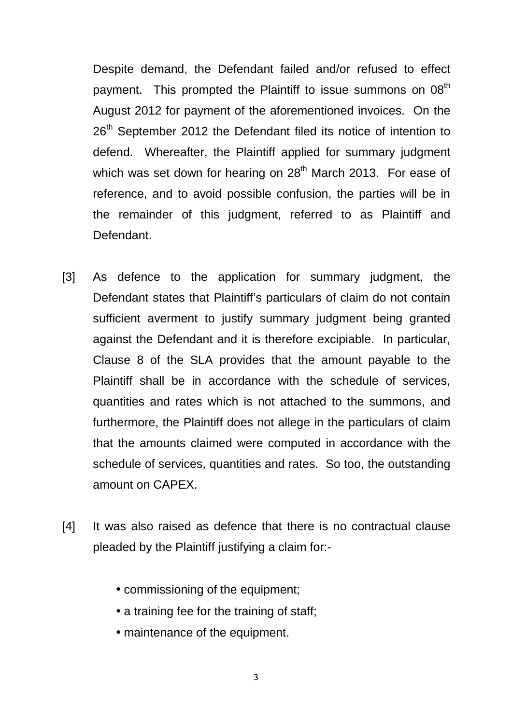Despite demand, the Defendant failed and/or refused to effect payment. This prompted the Plaintiff to issue summons on 08<sup>th</sup> August 2012 for payment of the aforementioned invoices. On the 26<sup>th</sup> September 2012 the Defendant filed its notice of intention to defend. Whereafter, the Plaintiff applied for summary judgment which was set down for hearing on 28<sup>th</sup> March 2013. For ease of reference, and to avoid possible confusion, the parties will be in the remainder of this judgment, referred to as Plaintiff and Defendant.

- [3] As defence to the application for summary judgment, the Defendant states that Plaintiff's particulars of claim do not contain sufficient averment to justify summary judgment being granted against the Defendant and it is therefore excipiable. In particular, Clause 8 of the SLA provides that the amount payable to the Plaintiff shall be in accordance with the schedule of services, quantities and rates which is not attached to the summons, and furthermore, the Plaintiff does not allege in the particulars of claim that the amounts claimed were computed in accordance with the schedule of services, quantities and rates. So too, the outstanding amount on CAPEX.
- [4] It was also raised as defence that there is no contractual clause pleaded by the Plaintiff justifying a claim for:-
	- commissioning of the equipment;
	- a training fee for the training of staff;
	- maintenance of the equipment.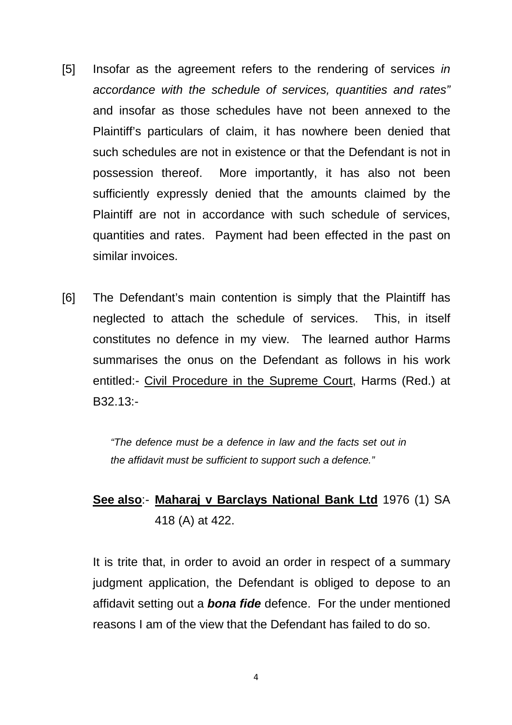- [5] Insofar as the agreement refers to the rendering of services in accordance with the schedule of services, quantities and rates" and insofar as those schedules have not been annexed to the Plaintiff's particulars of claim, it has nowhere been denied that such schedules are not in existence or that the Defendant is not in possession thereof. More importantly, it has also not been sufficiently expressly denied that the amounts claimed by the Plaintiff are not in accordance with such schedule of services, quantities and rates. Payment had been effected in the past on similar invoices.
- [6] The Defendant's main contention is simply that the Plaintiff has neglected to attach the schedule of services. This, in itself constitutes no defence in my view. The learned author Harms summarises the onus on the Defendant as follows in his work entitled:- Civil Procedure in the Supreme Court, Harms (Red.) at B32.13:-

"The defence must be a defence in law and the facts set out in the affidavit must be sufficient to support such a defence."

## **See also**:- **Maharaj v Barclays National Bank Ltd** 1976 (1) SA 418 (A) at 422.

 It is trite that, in order to avoid an order in respect of a summary judgment application, the Defendant is obliged to depose to an affidavit setting out a **bona fide** defence. For the under mentioned reasons I am of the view that the Defendant has failed to do so.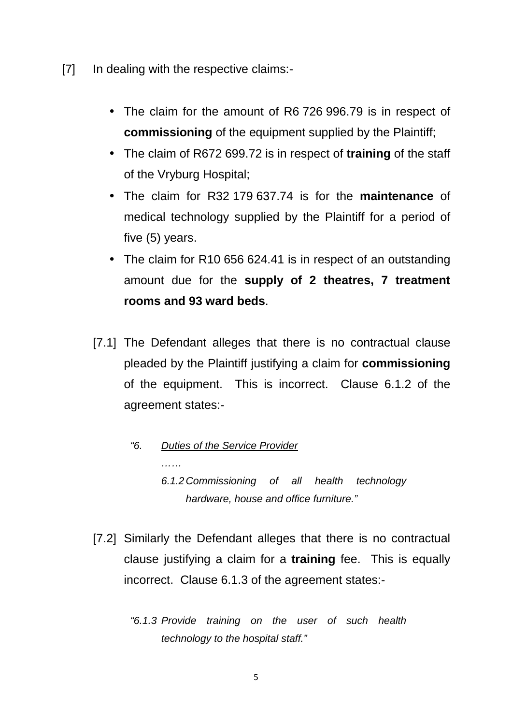- [7] In dealing with the respective claims:-
	- The claim for the amount of R6 726 996.79 is in respect of **commissioning** of the equipment supplied by the Plaintiff;
	- The claim of R672 699.72 is in respect of **training** of the staff of the Vryburg Hospital;
	- The claim for R32 179 637.74 is for the **maintenance** of medical technology supplied by the Plaintiff for a period of five (5) years.
	- The claim for R10 656 624.41 is in respect of an outstanding amount due for the **supply of 2 theatres, 7 treatment rooms and 93 ward beds**.
	- [7.1] The Defendant alleges that there is no contractual clause pleaded by the Plaintiff justifying a claim for **commissioning**  of the equipment. This is incorrect. Clause 6.1.2 of the agreement states:-
		- "6. Duties of the Service Provider …… 6.1.2 Commissioning of all health technology hardware, house and office furniture."
	- [7.2] Similarly the Defendant alleges that there is no contractual clause justifying a claim for a **training** fee. This is equally incorrect. Clause 6.1.3 of the agreement states:-
		- "6.1.3 Provide training on the user of such health technology to the hospital staff."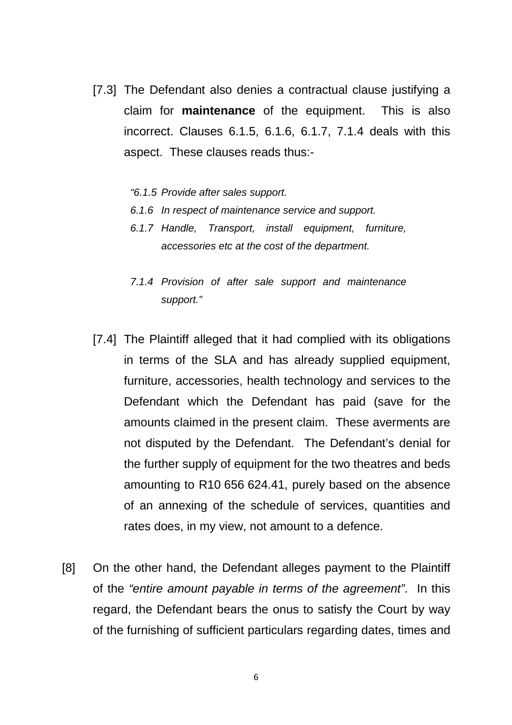- [7.3] The Defendant also denies a contractual clause justifying a claim for **maintenance** of the equipment. This is also incorrect. Clauses 6.1.5, 6.1.6, 6.1.7, 7.1.4 deals with this aspect. These clauses reads thus:-
	- "6.1.5 Provide after sales support.
	- 6.1.6 In respect of maintenance service and support.
	- 6.1.7 Handle, Transport, install equipment, furniture, accessories etc at the cost of the department.
	- 7.1.4 Provision of after sale support and maintenance support."
- [7.4] The Plaintiff alleged that it had complied with its obligations in terms of the SLA and has already supplied equipment, furniture, accessories, health technology and services to the Defendant which the Defendant has paid (save for the amounts claimed in the present claim. These averments are not disputed by the Defendant. The Defendant's denial for the further supply of equipment for the two theatres and beds amounting to R10 656 624.41, purely based on the absence of an annexing of the schedule of services, quantities and rates does, in my view, not amount to a defence.
- [8] On the other hand, the Defendant alleges payment to the Plaintiff of the "entire amount payable in terms of the agreement". In this regard, the Defendant bears the onus to satisfy the Court by way of the furnishing of sufficient particulars regarding dates, times and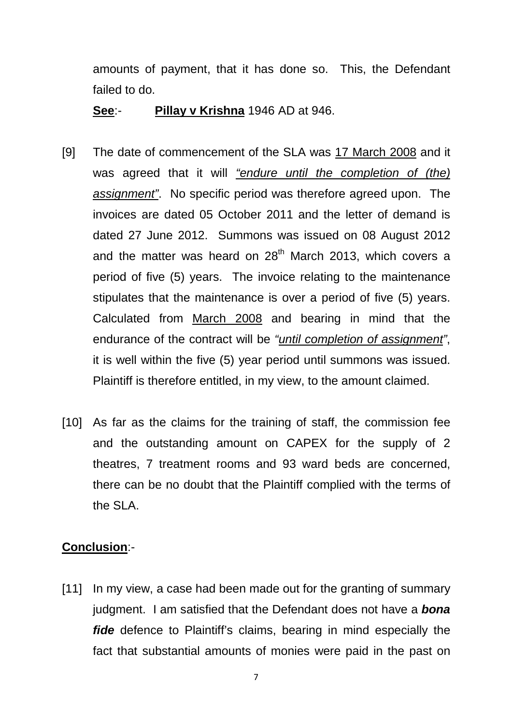amounts of payment, that it has done so. This, the Defendant failed to do.

### **See**:- **Pillay v Krishna** 1946 AD at 946.

- [9] The date of commencement of the SLA was 17 March 2008 and it was agreed that it will "endure until the completion of (the) assignment". No specific period was therefore agreed upon. The invoices are dated 05 October 2011 and the letter of demand is dated 27 June 2012. Summons was issued on 08 August 2012 and the matter was heard on  $28<sup>th</sup>$  March 2013, which covers a period of five (5) years. The invoice relating to the maintenance stipulates that the maintenance is over a period of five (5) years. Calculated from March 2008 and bearing in mind that the endurance of the contract will be "until completion of assignment", it is well within the five (5) year period until summons was issued. Plaintiff is therefore entitled, in my view, to the amount claimed.
- [10] As far as the claims for the training of staff, the commission fee and the outstanding amount on CAPEX for the supply of 2 theatres, 7 treatment rooms and 93 ward beds are concerned, there can be no doubt that the Plaintiff complied with the terms of the SLA.

### **Conclusion**:-

[11] In my view, a case had been made out for the granting of summary judgment. I am satisfied that the Defendant does not have a **bona fide** defence to Plaintiff's claims, bearing in mind especially the fact that substantial amounts of monies were paid in the past on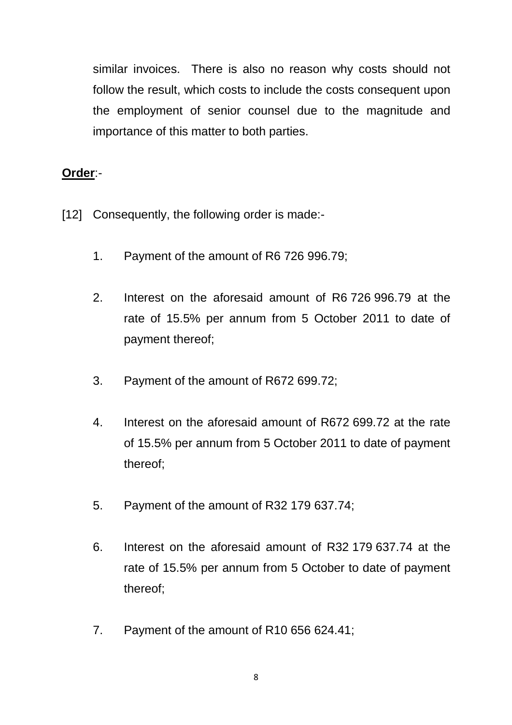similar invoices. There is also no reason why costs should not follow the result, which costs to include the costs consequent upon the employment of senior counsel due to the magnitude and importance of this matter to both parties.

## **Order**:-

- [12] Consequently, the following order is made:-
	- 1. Payment of the amount of R6 726 996.79;
	- 2. Interest on the aforesaid amount of R6 726 996.79 at the rate of 15.5% per annum from 5 October 2011 to date of payment thereof;
	- 3. Payment of the amount of R672 699.72;
	- 4. Interest on the aforesaid amount of R672 699.72 at the rate of 15.5% per annum from 5 October 2011 to date of payment thereof;
	- 5. Payment of the amount of R32 179 637.74;
	- 6. Interest on the aforesaid amount of R32 179 637.74 at the rate of 15.5% per annum from 5 October to date of payment thereof;
	- 7. Payment of the amount of R10 656 624.41;